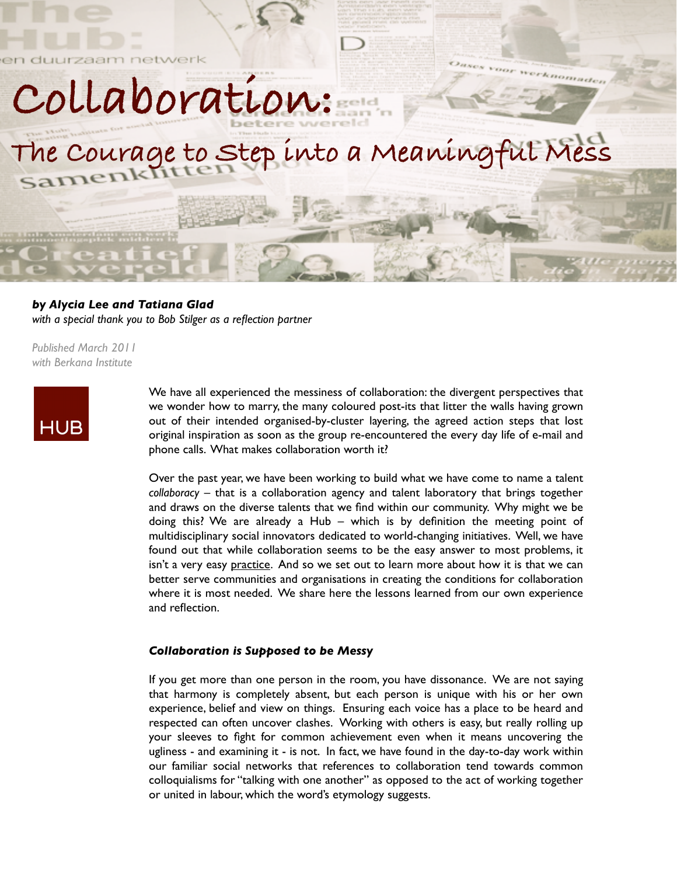**Collaboration:** 

worknomader

# **The Courage to Step into a Meaningful Mess**

*by Alycia Lee and Tatiana Glad with a special thank you to Bob Stilger as a reflection partner*

*Published March 2011 with Berkana Institute*



We have all experienced the messiness of collaboration: the divergent perspectives that we wonder how to marry, the many coloured post-its that litter the walls having grown out of their intended organised-by-cluster layering, the agreed action steps that lost original inspiration as soon as the group re-encountered the every day life of e-mail and phone calls. What makes collaboration worth it?

Over the past year, we have been working to build what we have come to name a talent *collaboracy* – that is a collaboration agency and talent laboratory that brings together and draws on the diverse talents that we find within our community. Why might we be doing this? We are already a Hub – which is by definition the meeting point of multidisciplinary social innovators dedicated to world-changing initiatives. Well, we have found out that while collaboration seems to be the easy answer to most problems, it isn't a very easy practice. And so we set out to learn more about how it is that we can better serve communities and organisations in creating the conditions for collaboration where it is most needed. We share here the lessons learned from our own experience and reflection.

### *Collaboration is Supposed to be Messy*

If you get more than one person in the room, you have dissonance. We are not saying that harmony is completely absent, but each person is unique with his or her own experience, belief and view on things. Ensuring each voice has a place to be heard and respected can often uncover clashes. Working with others is easy, but really rolling up your sleeves to fight for common achievement even when it means uncovering the ugliness - and examining it - is not. In fact, we have found in the day-to-day work within our familiar social networks that references to collaboration tend towards common colloquialisms for "talking with one another" as opposed to the act of working together or united in labour, which the word's etymology suggests.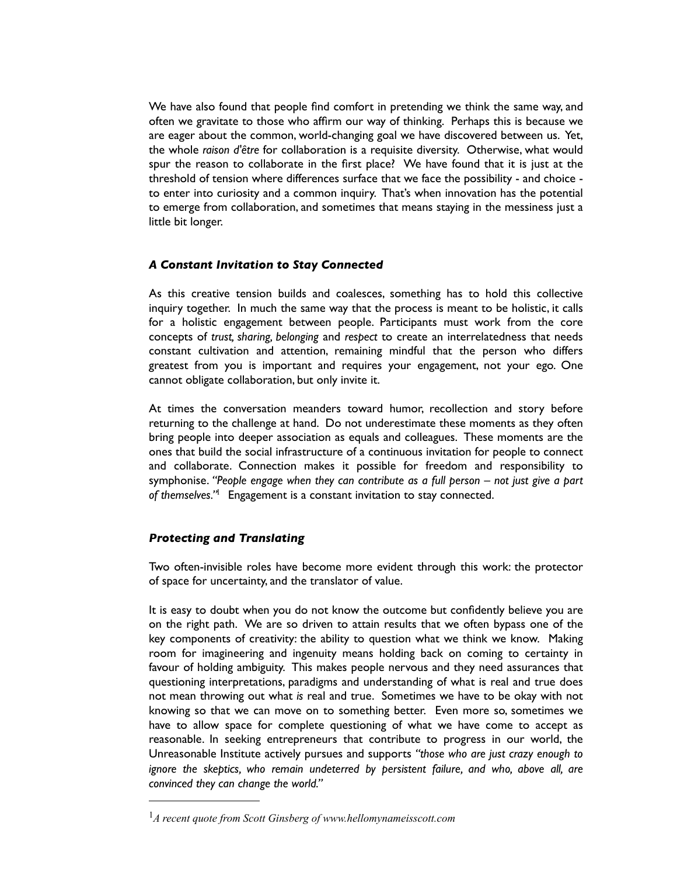We have also found that people find comfort in pretending we think the same way, and often we gravitate to those who affirm our way of thinking. Perhaps this is because we are eager about the common, world-changing goal we have discovered between us. Yet, the whole *raison d'être* for collaboration is a requisite diversity. Otherwise, what would spur the reason to collaborate in the first place? We have found that it is just at the threshold of tension where differences surface that we face the possibility - and choice to enter into curiosity and a common inquiry. That's when innovation has the potential to emerge from collaboration, and sometimes that means staying in the messiness just a little bit longer.

# *A Constant Invitation to Stay Connected*

As this creative tension builds and coalesces, something has to hold this collective inquiry together. In much the same way that the process is meant to be holistic, it calls for a holistic engagement between people. Participants must work from the core concepts of *trust, sharing, belonging* and *respect* to create an interrelatedness that needs constant cultivation and attention, remaining mindful that the person who differs greatest from you is important and requires your engagement, not your ego. One cannot obligate collaboration, but only invite it.

At times the conversation meanders toward humor, recollection and story before returning to the challenge at hand. Do not underestimate these moments as they often bring people into deeper association as equals and colleagues. These moments are the ones that build the social infrastructure of a continuous invitation for people to connect and collaborate. Connection makes it possible for freedom and responsibility to symphonise. *"People engage when they can contribute as a full person – not just give a part of themselves."*[1](#page-1-0)Engagement is a constant invitation to stay connected.

## *Protecting and Translating*

Two often-invisible roles have become more evident through this work: the protector of space for uncertainty, and the translator of value.

It is easy to doubt when you do not know the outcome but confidently believe you are on the right path. We are so driven to attain results that we often bypass one of the key components of creativity: the ability to question what we think we know. Making room for imagineering and ingenuity means holding back on coming to certainty in favour of holding ambiguity. This makes people nervous and they need assurances that questioning interpretations, paradigms and understanding of what is real and true does not mean throwing out what *is* real and true. Sometimes we have to be okay with not knowing so that we can move on to something better. Even more so, sometimes we have to allow space for complete questioning of what we have come to accept as reasonable. In seeking entrepreneurs that contribute to progress in our world, the Unreasonable Institute actively pursues and supports *"those who are just crazy enough to ignore the skeptics, who remain undeterred by persistent failure, and who, above all, are convinced they can change the world."* 

<span id="page-1-0"></span><sup>1</sup>*A recent quote from Scott Ginsberg of www.hellomynameisscott.com*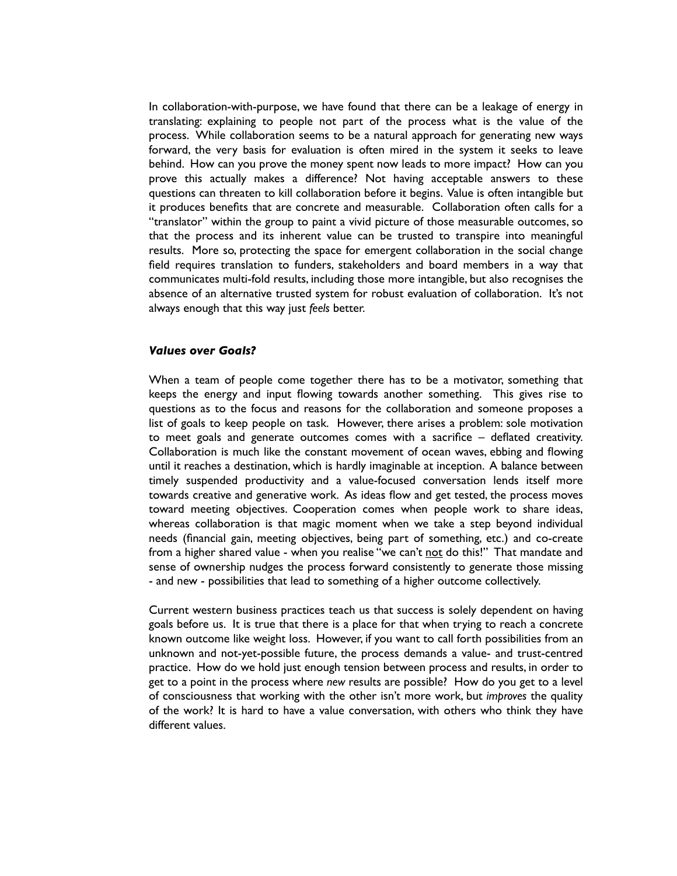In collaboration-with-purpose, we have found that there can be a leakage of energy in translating: explaining to people not part of the process what is the value of the process. While collaboration seems to be a natural approach for generating new ways forward, the very basis for evaluation is often mired in the system it seeks to leave behind. How can you prove the money spent now leads to more impact? How can you prove this actually makes a difference? Not having acceptable answers to these questions can threaten to kill collaboration before it begins. Value is often intangible but it produces benefits that are concrete and measurable. Collaboration often calls for a "translator" within the group to paint a vivid picture of those measurable outcomes, so that the process and its inherent value can be trusted to transpire into meaningful results. More so, protecting the space for emergent collaboration in the social change field requires translation to funders, stakeholders and board members in a way that communicates multi-fold results, including those more intangible, but also recognises the absence of an alternative trusted system for robust evaluation of collaboration. It's not always enough that this way just *feels* better.

#### *Values over Goals?*

When a team of people come together there has to be a motivator, something that keeps the energy and input flowing towards another something. This gives rise to questions as to the focus and reasons for the collaboration and someone proposes a list of goals to keep people on task. However, there arises a problem: sole motivation to meet goals and generate outcomes comes with a sacrifice – deflated creativity. Collaboration is much like the constant movement of ocean waves, ebbing and flowing until it reaches a destination, which is hardly imaginable at inception. A balance between timely suspended productivity and a value-focused conversation lends itself more towards creative and generative work. As ideas flow and get tested, the process moves toward meeting objectives. Cooperation comes when people work to share ideas, whereas collaboration is that magic moment when we take a step beyond individual needs (financial gain, meeting objectives, being part of something, etc.) and co-create from a higher shared value - when you realise "we can't not do this!" That mandate and sense of ownership nudges the process forward consistently to generate those missing - and new - possibilities that lead to something of a higher outcome collectively.

Current western business practices teach us that success is solely dependent on having goals before us. It is true that there is a place for that when trying to reach a concrete known outcome like weight loss. However, if you want to call forth possibilities from an unknown and not-yet-possible future, the process demands a value- and trust-centred practice. How do we hold just enough tension between process and results, in order to get to a point in the process where *new* results are possible? How do you get to a level of consciousness that working with the other isn't more work, but *improves* the quality of the work? It is hard to have a value conversation, with others who think they have different values.